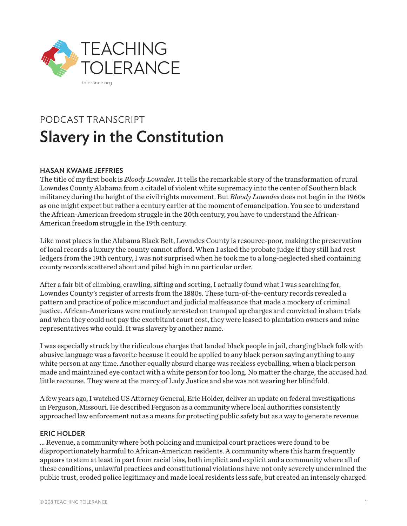

# PODCAST TRANSCRIPT Slavery in the Constitution

## HASAN KWAME JEFFRIES

The title of my first book is *Bloody Lowndes*. It tells the remarkable story of the transformation of rural Lowndes County Alabama from a citadel of violent white supremacy into the center of Southern black militancy during the height of the civil rights movement. But *Bloody Lowndes* does not begin in the 1960s as one might expect but rather a century earlier at the moment of emancipation. You see to understand the African-American freedom struggle in the 20th century, you have to understand the African-American freedom struggle in the 19th century.

Like most places in the Alabama Black Belt, Lowndes County is resource-poor, making the preservation of local records a luxury the county cannot afford. When I asked the probate judge if they still had rest ledgers from the 19th century, I was not surprised when he took me to a long-neglected shed containing county records scattered about and piled high in no particular order.

After a fair bit of climbing, crawling, sifting and sorting, I actually found what I was searching for, Lowndes County's register of arrests from the 1880s. These turn-of-the-century records revealed a pattern and practice of police misconduct and judicial malfeasance that made a mockery of criminal justice. African-Americans were routinely arrested on trumped up charges and convicted in sham trials and when they could not pay the exorbitant court cost, they were leased to plantation owners and mine representatives who could. It was slavery by another name.

I was especially struck by the ridiculous charges that landed black people in jail, charging black folk with abusive language was a favorite because it could be applied to any black person saying anything to any white person at any time. Another equally absurd charge was reckless eyeballing, when a black person made and maintained eye contact with a white person for too long. No matter the charge, the accused had little recourse. They were at the mercy of Lady Justice and she was not wearing her blindfold.

A few years ago, I watched US Attorney General, Eric Holder, deliver an update on federal investigations in Ferguson, Missouri. He described Ferguson as a community where local authorities consistently approached law enforcement not as a means for protecting public safety but as a way to generate revenue.

#### ERIC HOLDER

… Revenue, a community where both policing and municipal court practices were found to be disproportionately harmful to African-American residents. A community where this harm frequently appears to stem at least in part from racial bias, both implicit and explicit and a community where all of these conditions, unlawful practices and constitutional violations have not only severely undermined the public trust, eroded police legitimacy and made local residents less safe, but created an intensely charged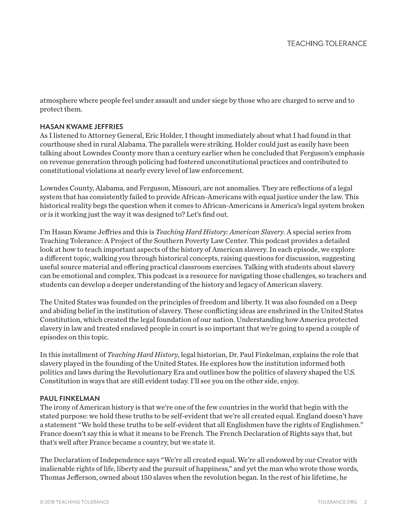atmosphere where people feel under assault and under siege by those who are charged to serve and to protect them.

### HASAN KWAME JEFFRIES

As I listened to Attorney General, Eric Holder, I thought immediately about what I had found in that courthouse shed in rural Alabama. The parallels were striking. Holder could just as easily have been talking about Lowndes County more than a century earlier when he concluded that Ferguson's emphasis on revenue generation through policing had fostered unconstitutional practices and contributed to constitutional violations at nearly every level of law enforcement.

Lowndes County, Alabama, and Ferguson, Missouri, are not anomalies. They are reflections of a legal system that has consistently failed to provide African-Americans with equal justice under the law. This historical reality begs the question when it comes to African-Americans is America's legal system broken or is it working just the way it was designed to? Let's find out.

I'm Hasan Kwame Jeffries and this is *Teaching Hard History: American Slavery*. A special series from Teaching Tolerance: A Project of the Southern Poverty Law Center. This podcast provides a detailed look at how to teach important aspects of the history of American slavery. In each episode, we explore a different topic, walking you through historical concepts, raising questions for discussion, suggesting useful source material and offering practical classroom exercises. Talking with students about slavery can be emotional and complex. This podcast is a resource for navigating those challenges, so teachers and students can develop a deeper understanding of the history and legacy of American slavery.

The United States was founded on the principles of freedom and liberty. It was also founded on a Deep and abiding belief in the institution of slavery. These conflicting ideas are enshrined in the United States Constitution, which created the legal foundation of our nation. Understanding how America protected slavery in law and treated enslaved people in court is so important that we're going to spend a couple of episodes on this topic.

In this installment of *Teaching Hard History*, legal historian, Dr. Paul Finkelman, explains the role that slavery played in the founding of the United States. He explores how the institution informed both politics and laws during the Revolutionary Era and outlines how the politics of slavery shaped the U.S. Constitution in ways that are still evident today. I'll see you on the other side, enjoy.

#### PAUL FINKELMAN

The irony of American history is that we're one of the few countries in the world that begin with the stated purpose: we hold these truths to be self-evident that we're all created equal. England doesn't have a statement "We hold these truths to be self-evident that all Englishmen have the rights of Englishmen." France doesn't say this is what it means to be French. The French Declaration of Rights says that, but that's well after France became a country, but we state it.

The Declaration of Independence says "We're all created equal. We're all endowed by our Creator with inalienable rights of life, liberty and the pursuit of happiness," and yet the man who wrote those words, Thomas Jefferson, owned about 150 slaves when the revolution began. In the rest of his lifetime, he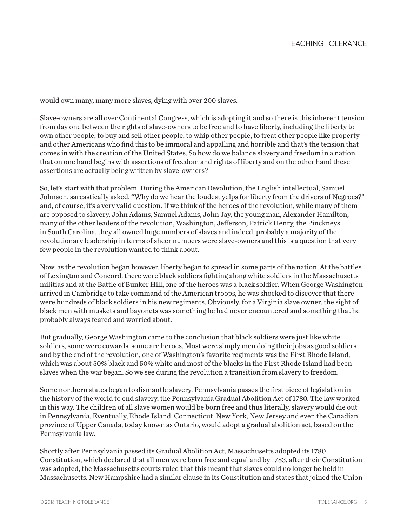would own many, many more slaves, dying with over 200 slaves.

Slave-owners are all over Continental Congress, which is adopting it and so there is this inherent tension from day one between the rights of slave-owners to be free and to have liberty, including the liberty to own other people, to buy and sell other people, to whip other people, to treat other people like property and other Americans who find this to be immoral and appalling and horrible and that's the tension that comes in with the creation of the United States. So how do we balance slavery and freedom in a nation that on one hand begins with assertions of freedom and rights of liberty and on the other hand these assertions are actually being written by slave-owners?

So, let's start with that problem. During the American Revolution, the English intellectual, Samuel Johnson, sarcastically asked, "Why do we hear the loudest yelps for liberty from the drivers of Negroes?" and, of course, it's a very valid question. If we think of the heroes of the revolution, while many of them are opposed to slavery, John Adams, Samuel Adams, John Jay, the young man, Alexander Hamilton, many of the other leaders of the revolution, Washington, Jefferson, Patrick Henry, the Pinckneys in South Carolina, they all owned huge numbers of slaves and indeed, probably a majority of the revolutionary leadership in terms of sheer numbers were slave-owners and this is a question that very few people in the revolution wanted to think about.

Now, as the revolution began however, liberty began to spread in some parts of the nation. At the battles of Lexington and Concord, there were black soldiers fighting along white soldiers in the Massachusetts militias and at the Battle of Bunker Hill, one of the heroes was a black soldier. When George Washington arrived in Cambridge to take command of the American troops, he was shocked to discover that there were hundreds of black soldiers in his new regiments. Obviously, for a Virginia slave owner, the sight of black men with muskets and bayonets was something he had never encountered and something that he probably always feared and worried about.

But gradually, George Washington came to the conclusion that black soldiers were just like white soldiers, some were cowards, some are heroes. Most were simply men doing their jobs as good soldiers and by the end of the revolution, one of Washington's favorite regiments was the First Rhode Island, which was about 50% black and 50% white and most of the blacks in the First Rhode Island had been slaves when the war began. So we see during the revolution a transition from slavery to freedom.

Some northern states began to dismantle slavery. Pennsylvania passes the first piece of legislation in the history of the world to end slavery, the Pennsylvania Gradual Abolition Act of 1780. The law worked in this way. The children of all slave women would be born free and thus literally, slavery would die out in Pennsylvania. Eventually, Rhode Island, Connecticut, New York, New Jersey and even the Canadian province of Upper Canada, today known as Ontario, would adopt a gradual abolition act, based on the Pennsylvania law.

Shortly after Pennsylvania passed its Gradual Abolition Act, Massachusetts adopted its 1780 Constitution, which declared that all men were born free and equal and by 1783, after their Constitution was adopted, the Massachusetts courts ruled that this meant that slaves could no longer be held in Massachusetts. New Hampshire had a similar clause in its Constitution and states that joined the Union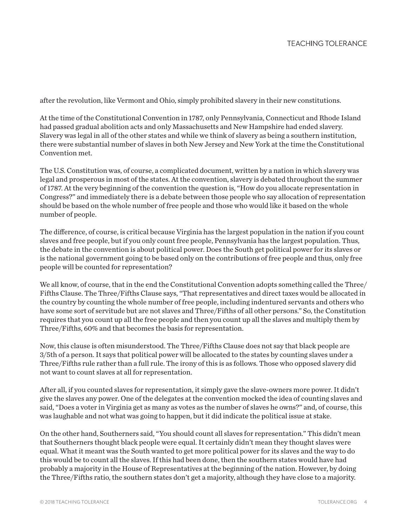after the revolution, like Vermont and Ohio, simply prohibited slavery in their new constitutions.

At the time of the Constitutional Convention in 1787, only Pennsylvania, Connecticut and Rhode Island had passed gradual abolition acts and only Massachusetts and New Hampshire had ended slavery. Slavery was legal in all of the other states and while we think of slavery as being a southern institution, there were substantial number of slaves in both New Jersey and New York at the time the Constitutional Convention met.

The U.S. Constitution was, of course, a complicated document, written by a nation in which slavery was legal and prosperous in most of the states. At the convention, slavery is debated throughout the summer of 1787. At the very beginning of the convention the question is, "How do you allocate representation in Congress?" and immediately there is a debate between those people who say allocation of representation should be based on the whole number of free people and those who would like it based on the whole number of people.

The difference, of course, is critical because Virginia has the largest population in the nation if you count slaves and free people, but if you only count free people, Pennsylvania has the largest population. Thus, the debate in the convention is about political power. Does the South get political power for its slaves or is the national government going to be based only on the contributions of free people and thus, only free people will be counted for representation?

We all know, of course, that in the end the Constitutional Convention adopts something called the Three/ Fifths Clause. The Three/Fifths Clause says, "That representatives and direct taxes would be allocated in the country by counting the whole number of free people, including indentured servants and others who have some sort of servitude but are not slaves and Three/Fifths of all other persons." So, the Constitution requires that you count up all the free people and then you count up all the slaves and multiply them by Three/Fifths, 60% and that becomes the basis for representation.

Now, this clause is often misunderstood. The Three/Fifths Clause does not say that black people are 3/5th of a person. It says that political power will be allocated to the states by counting slaves under a Three/Fifths rule rather than a full rule. The irony of this is as follows. Those who opposed slavery did not want to count slaves at all for representation.

After all, if you counted slaves for representation, it simply gave the slave-owners more power. It didn't give the slaves any power. One of the delegates at the convention mocked the idea of counting slaves and said, "Does a voter in Virginia get as many as votes as the number of slaves he owns?" and, of course, this was laughable and not what was going to happen, but it did indicate the political issue at stake.

On the other hand, Southerners said, "You should count all slaves for representation." This didn't mean that Southerners thought black people were equal. It certainly didn't mean they thought slaves were equal. What it meant was the South wanted to get more political power for its slaves and the way to do this would be to count all the slaves. If this had been done, then the southern states would have had probably a majority in the House of Representatives at the beginning of the nation. However, by doing the Three/Fifths ratio, the southern states don't get a majority, although they have close to a majority.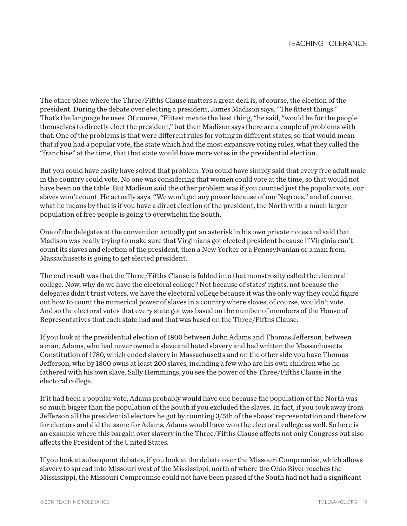The other place where the Three/Fifths Clause matters a great deal is, of course, the election of the president. During the debate over electing a president, James Madison says, "The fittest things." That's the language he uses. Of course, "Fittest means the best thing, "he said, "would be for the people themselves to directly elect the president," but then Madison says there are a couple of problems with that. One of the problems is that were different rules for voting in different states, so that would mean that if you had a popular vote, the state which had the most expansive voting rules, what they called the "franchise" at the time, that that state would have more votes in the presidential election.

But you could have easily have solved that problem. You could have simply said that every free adult male in the country could vote. No one was considering that women could vote at the time, so that would not have been on the table. But Madison said the other problem was if you counted just the popular vote, our slaves won't count. He actually says, "We won't get any power because of our Negroes," and of course, what he means by that is if you have a direct election of the president, the North with a much larger population of free people is going to overwhelm the South.

One of the delegates at the convention actually put an asterisk in his own private notes and said that Madison was really trying to make sure that Virginians got elected president because if Virginia can't count its slaves and election of the president, then a New Yorker or a Pennsylvanian or a man from Massachusetts is going to get elected president.

The end result was that the Three/Fifths Clause is folded into that monstrosity called the electoral college. Now, why do we have the electoral college? Not because of states' rights, not because the delegates didn't trust voters, we have the electoral college because it was the only way they could figure out how to count the numerical power of slaves in a country where slaves, of course, wouldn't vote. And so the electoral votes that every state got was based on the number of members of the House of Representatives that each state had and that was based on the Three/Fifths Clause.

If you look at the presidential election of 1800 between John Adams and Thomas Jefferson, between a man, Adams, who had never owned a slave and hated slavery and had written the Massachusetts Constitution of 1780, which ended slavery in Massachusetts and on the other side you have Thomas Jefferson, who by 1800 owns at least 200 slaves, including a few who are his own children who he fathered with his own slave, Sally Hemmings, you see the power of the Three/Fifths Clause in the electoral college.

If it had been a popular vote, Adams probably would have one because the population of the North was so much bigger than the population of the South if you excluded the slaves. In fact, if you took away from Jefferson all the presidential electors he got by counting 3/5th of the slaves' representation and therefore for electors and did the same for Adams, Adams would have won the electoral college as well. So here is an example where this bargain over slavery in the Three/Fifths Clause affects not only Congress but also affects the President of the United States.

If you look at subsequent debates, if you look at the debate over the Missouri Compromise, which allows slavery to spread into Missouri west of the Mississippi, north of where the Ohio River reaches the Mississippi, the Missouri Compromise could not have been passed if the South had not had a significant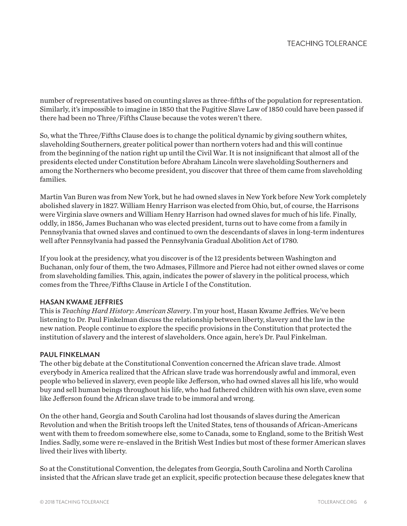number of representatives based on counting slaves as three-fifths of the population for representation. Similarly, it's impossible to imagine in 1850 that the Fugitive Slave Law of 1850 could have been passed if there had been no Three/Fifths Clause because the votes weren't there.

So, what the Three/Fifths Clause does is to change the political dynamic by giving southern whites, slaveholding Southerners, greater political power than northern voters had and this will continue from the beginning of the nation right up until the Civil War. It is not insignificant that almost all of the presidents elected under Constitution before Abraham Lincoln were slaveholding Southerners and among the Northerners who become president, you discover that three of them came from slaveholding families.

Martin Van Buren was from New York, but he had owned slaves in New York before New York completely abolished slavery in 1827. William Henry Harrison was elected from Ohio, but, of course, the Harrisons were Virginia slave owners and William Henry Harrison had owned slaves for much of his life. Finally, oddly, in 1856, James Buchanan who was elected president, turns out to have come from a family in Pennsylvania that owned slaves and continued to own the descendants of slaves in long-term indentures well after Pennsylvania had passed the Pennsylvania Gradual Abolition Act of 1780.

If you look at the presidency, what you discover is of the 12 presidents between Washington and Buchanan, only four of them, the two Admases, Fillmore and Pierce had not either owned slaves or come from slaveholding families. This, again, indicates the power of slavery in the political process, which comes from the Three/Fifths Clause in Article I of the Constitution.

#### HASAN KWAME JEFFRIES

This is *Teaching Hard History: American Slavery*. I'm your host, Hasan Kwame Jeffries. We've been listening to Dr. Paul Finkelman discuss the relationship between liberty, slavery and the law in the new nation. People continue to explore the specific provisions in the Constitution that protected the institution of slavery and the interest of slaveholders. Once again, here's Dr. Paul Finkelman.

#### PAUL FINKELMAN

The other big debate at the Constitutional Convention concerned the African slave trade. Almost everybody in America realized that the African slave trade was horrendously awful and immoral, even people who believed in slavery, even people like Jefferson, who had owned slaves all his life, who would buy and sell human beings throughout his life, who had fathered children with his own slave, even some like Jefferson found the African slave trade to be immoral and wrong.

On the other hand, Georgia and South Carolina had lost thousands of slaves during the American Revolution and when the British troops left the United States, tens of thousands of African-Americans went with them to freedom somewhere else, some to Canada, some to England, some to the British West Indies. Sadly, some were re-enslaved in the British West Indies but most of these former American slaves lived their lives with liberty.

So at the Constitutional Convention, the delegates from Georgia, South Carolina and North Carolina insisted that the African slave trade get an explicit, specific protection because these delegates knew that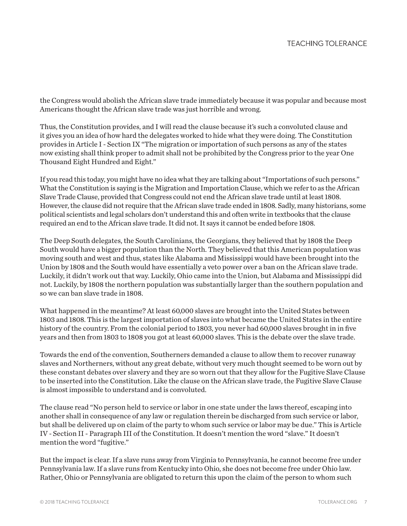the Congress would abolish the African slave trade immediately because it was popular and because most Americans thought the African slave trade was just horrible and wrong.

Thus, the Constitution provides, and I will read the clause because it's such a convoluted clause and it gives you an idea of how hard the delegates worked to hide what they were doing. The Constitution provides in Article I - Section IX "The migration or importation of such persons as any of the states now existing shall think proper to admit shall not be prohibited by the Congress prior to the year One Thousand Eight Hundred and Eight."

If you read this today, you might have no idea what they are talking about "Importations of such persons." What the Constitution is saying is the Migration and Importation Clause, which we refer to as the African Slave Trade Clause, provided that Congress could not end the African slave trade until at least 1808. However, the clause did not require that the African slave trade ended in 1808. Sadly, many historians, some political scientists and legal scholars don't understand this and often write in textbooks that the clause required an end to the African slave trade. It did not. It says it cannot be ended before 1808.

The Deep South delegates, the South Carolinians, the Georgians, they believed that by 1808 the Deep South would have a bigger population than the North. They believed that this American population was moving south and west and thus, states like Alabama and Mississippi would have been brought into the Union by 1808 and the South would have essentially a veto power over a ban on the African slave trade. Luckily, it didn't work out that way. Luckily, Ohio came into the Union, but Alabama and Mississippi did not. Luckily, by 1808 the northern population was substantially larger than the southern population and so we can ban slave trade in 1808.

What happened in the meantime? At least 60,000 slaves are brought into the United States between 1803 and 1808. This is the largest importation of slaves into what became the United States in the entire history of the country. From the colonial period to 1803, you never had 60,000 slaves brought in in five years and then from 1803 to 1808 you got at least 60,000 slaves. This is the debate over the slave trade.

Towards the end of the convention, Southerners demanded a clause to allow them to recover runaway slaves and Northerners, without any great debate, without very much thought seemed to be worn out by these constant debates over slavery and they are so worn out that they allow for the Fugitive Slave Clause to be inserted into the Constitution. Like the clause on the African slave trade, the Fugitive Slave Clause is almost impossible to understand and is convoluted.

The clause read "No person held to service or labor in one state under the laws thereof, escaping into another shall in consequence of any law or regulation therein be discharged from such service or labor, but shall be delivered up on claim of the party to whom such service or labor may be due." This is Article IV - Section II - Paragraph III of the Constitution. It doesn't mention the word "slave." It doesn't mention the word "fugitive."

But the impact is clear. If a slave runs away from Virginia to Pennsylvania, he cannot become free under Pennsylvania law. If a slave runs from Kentucky into Ohio, she does not become free under Ohio law. Rather, Ohio or Pennsylvania are obligated to return this upon the claim of the person to whom such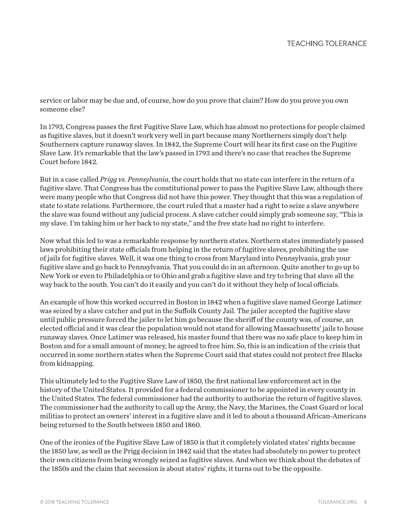service or labor may be due and, of course, how do you prove that claim? How do you prove you own someone else?

In 1793, Congress passes the first Fugitive Slave Law, which has almost no protections for people claimed as fugitive slaves, but it doesn't work very well in part because many Northerners simply don't help Southerners capture runaway slaves. In 1842, the Supreme Court will hear its first case on the Fugitive Slave Law. It's remarkable that the law's passed in 1793 and there's no case that reaches the Supreme Court before 1842.

But in a case called *Prigg vs. Pennsylvania*, the court holds that no state can interfere in the return of a fugitive slave. That Congress has the constitutional power to pass the Fugitive Slave Law, although there were many people who that Congress did not have this power. They thought that this was a regulation of state to state relations. Furthermore, the court ruled that a master had a right to seize a slave anywhere the slave was found without any judicial process. A slave catcher could simply grab someone say, "This is my slave. I'm taking him or her back to my state," and the free state had no right to interfere.

Now what this led to was a remarkable response by northern states. Northern states immediately passed laws prohibiting their state officials from helping in the return of fugitive slaves, prohibiting the use of jails for fugitive slaves. Well, it was one thing to cross from Maryland into Pennsylvania, grab your fugitive slave and go back to Pennsylvania. That you could do in an afternoon. Quite another to go up to New York or even to Philadelphia or to Ohio and grab a fugitive slave and try to bring that slave all the way back to the south. You can't do it easily and you can't do it without they help of local officials.

An example of how this worked occurred in Boston in 1842 when a fugitive slave named George Latimer was seized by a slave catcher and put in the Suffolk County Jail. The jailer accepted the fugitive slave until public pressure forced the jailer to let him go because the sheriff of the county was, of course, an elected official and it was clear the population would not stand for allowing Massachusetts' jails to house runaway slaves. Once Latimer was released, his master found that there was no safe place to keep him in Boston and for a small amount of money, he agreed to free him. So, this is an indication of the crisis that occurred in some northern states when the Supreme Court said that states could not protect free Blacks from kidnapping.

This ultimately led to the Fugitive Slave Law of 1850, the first national law enforcement act in the history of the United States. It provided for a federal commissioner to be appointed in every county in the United States. The federal commissioner had the authority to authorize the return of fugitive slaves. The commissioner had the authority to call up the Army, the Navy, the Marines, the Coast Guard or local militias to protect an owners' interest in a fugitive slave and it led to about a thousand African-Americans being returned to the South between 1850 and 1860.

One of the ironies of the Fugitive Slave Law of 1850 is that it completely violated states' rights because the 1850 law, as well as the Prigg decision in 1842 said that the states had absolutely no power to protect their own citizens from being wrongly seized as fugitive slaves. And when we think about the debates of the 1850s and the claim that secession is about states' rights, it turns out to be the opposite.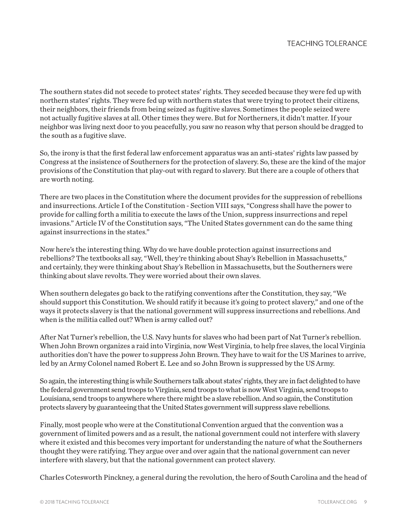The southern states did not secede to protect states' rights. They seceded because they were fed up with northern states' rights. They were fed up with northern states that were trying to protect their citizens, their neighbors, their friends from being seized as fugitive slaves. Sometimes the people seized were not actually fugitive slaves at all. Other times they were. But for Northerners, it didn't matter. If your neighbor was living next door to you peacefully, you saw no reason why that person should be dragged to the south as a fugitive slave.

So, the irony is that the first federal law enforcement apparatus was an anti-states' rights law passed by Congress at the insistence of Southerners for the protection of slavery. So, these are the kind of the major provisions of the Constitution that play-out with regard to slavery. But there are a couple of others that are worth noting.

There are two places in the Constitution where the document provides for the suppression of rebellions and insurrections. Article I of the Constitution - Section VIII says, "Congress shall have the power to provide for calling forth a militia to execute the laws of the Union, suppress insurrections and repel invasions." Article IV of the Constitution says, "The United States government can do the same thing against insurrections in the states."

Now here's the interesting thing. Why do we have double protection against insurrections and rebellions? The textbooks all say, "Well, they're thinking about Shay's Rebellion in Massachusetts," and certainly, they were thinking about Shay's Rebellion in Massachusetts, but the Southerners were thinking about slave revolts. They were worried about their own slaves.

When southern delegates go back to the ratifying conventions after the Constitution, they say, "We should support this Constitution. We should ratify it because it's going to protect slavery," and one of the ways it protects slavery is that the national government will suppress insurrections and rebellions. And when is the militia called out? When is army called out?

After Nat Turner's rebellion, the U.S. Navy hunts for slaves who had been part of Nat Turner's rebellion. When John Brown organizes a raid into Virginia, now West Virginia, to help free slaves, the local Virginia authorities don't have the power to suppress John Brown. They have to wait for the US Marines to arrive, led by an Army Colonel named Robert E. Lee and so John Brown is suppressed by the US Army.

So again, the interesting thing is while Southerners talk about states' rights, they are in fact delighted to have the federal government send troops to Virginia, send troops to what is now West Virginia, send troops to Louisiana, send troops to anywhere where there might be a slave rebellion. And so again, the Constitution protects slavery by guaranteeing that the United States government will suppress slave rebellions.

Finally, most people who were at the Constitutional Convention argued that the convention was a government of limited powers and as a result, the national government could not interfere with slavery where it existed and this becomes very important for understanding the nature of what the Southerners thought they were ratifying. They argue over and over again that the national government can never interfere with slavery, but that the national government can protect slavery.

Charles Cotesworth Pinckney, a general during the revolution, the hero of South Carolina and the head of